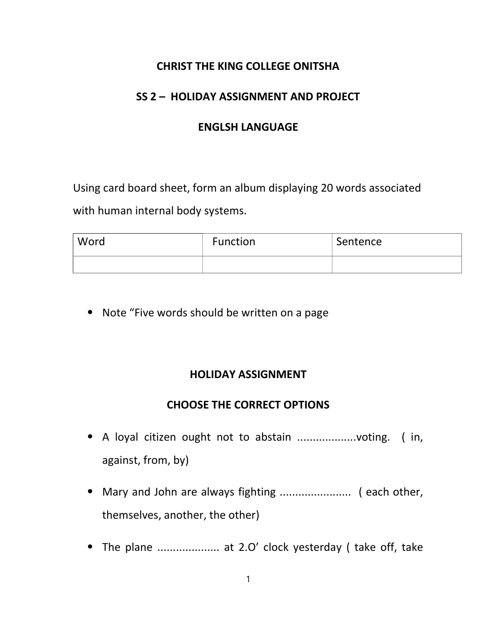#### CHRIST THE KING COLLEGE ONITSHA

#### SS 2 – HOLIDAY ASSIGNMENT AND PROJECT

#### ENGLSH LANGUAGE

Using card board sheet, form an album displaying 20 words associated with human internal body systems.

| Word | Function | Sentence |
|------|----------|----------|
|      |          |          |

⦁ Note "Five words should be written on a page

#### HOLIDAY ASSIGNMENT

#### CHOOSE THE CORRECT OPTIONS

- ⦁ A loyal citizen ought not to abstain ...................voting. ( in, against, from, by)
- ⦁ Mary and John are always fighting ....................... ( each other, themselves, another, the other)
- ⦁ The plane .................... at 2.O' clock yesterday ( take off, take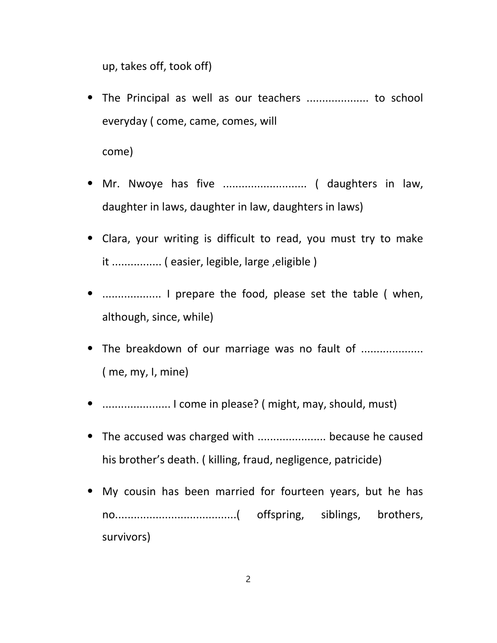up, takes off, took off)

- ⦁ The Principal as well as our teachers .................... to school everyday ( come, came, comes, will come)
- ⦁ Mr. Nwoye has five ........................... ( daughters in law, daughter in laws, daughter in law, daughters in laws)
- ⦁ Clara, your writing is difficult to read, you must try to make it ................ ( easier, legible, large ,eligible )
- ⦁ ................... I prepare the food, please set the table ( when, although, since, while)
- ⦁ The breakdown of our marriage was no fault of .................... ( me, my, I, mine)
- ⦁ ...................... I come in please? ( might, may, should, must)
- ⦁ The accused was charged with ...................... because he caused his brother's death. ( killing, fraud, negligence, patricide)
- ⦁ My cousin has been married for fourteen years, but he has no.......................................( offspring, siblings, brothers, survivors)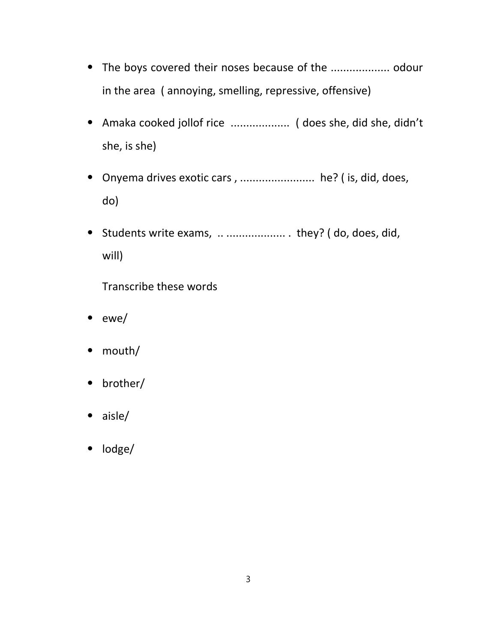- ⦁ The boys covered their noses because of the ................... odour in the area ( annoying, smelling, repressive, offensive)
- ⦁ Amaka cooked jollof rice ................... ( does she, did she, didn't she, is she)
- ⦁ Onyema drives exotic cars , ........................ he? ( is, did, does, do)
- ⦁ Students write exams, .. ................... . they? ( do, does, did, will)

Transcribe these words

- ⦁ ewe/
- ⦁ mouth/
- ⦁ brother/
- ⦁ aisle/
- ⦁ lodge/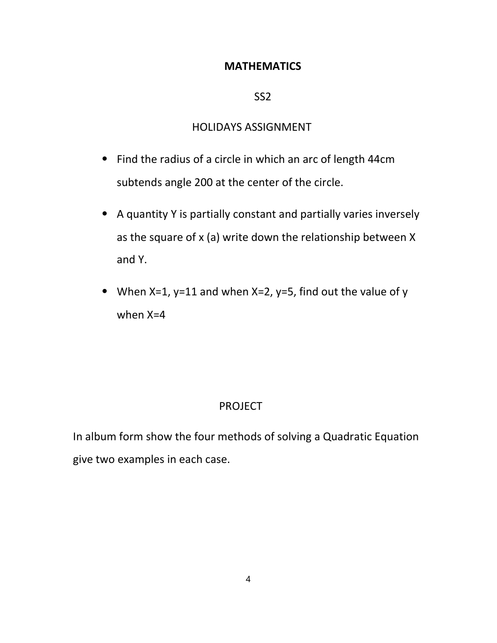#### **MATHEMATICS**

#### SS2

#### HOLIDAYS ASSIGNMENT

- ⦁ Find the radius of a circle in which an arc of length 44cm subtends angle 200 at the center of the circle.
- ⦁ A quantity Y is partially constant and partially varies inversely as the square of x (a) write down the relationship between X and Y.
- ⦁ When X=1, y=11 and when X=2, y=5, find out the value of y when X=4

#### PROJECT

In album form show the four methods of solving a Quadratic Equation give two examples in each case.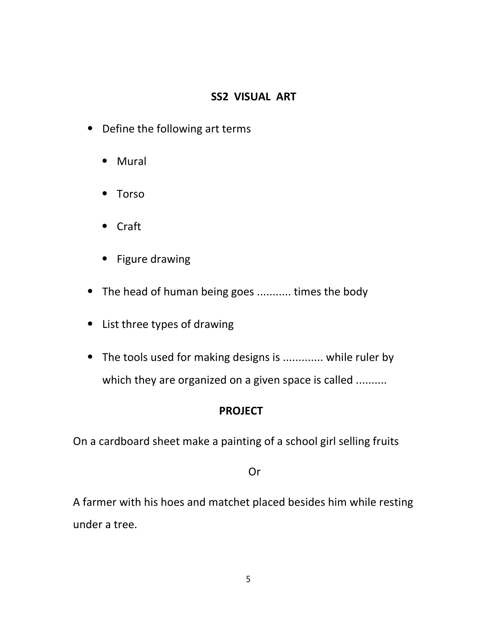## SS2 VISUAL ART

- ⦁ Define the following art terms
	- ⦁ Mural
	- ⦁ Torso
	- ⦁ Craft
	- ⦁ Figure drawing
- ⦁ The head of human being goes ........... times the body
- ⦁ List three types of drawing
- ⦁ The tools used for making designs is ............. while ruler by which they are organized on a given space is called ..........

## PROJECT

On a cardboard sheet make a painting of a school girl selling fruits

Or

A farmer with his hoes and matchet placed besides him while resting under a tree.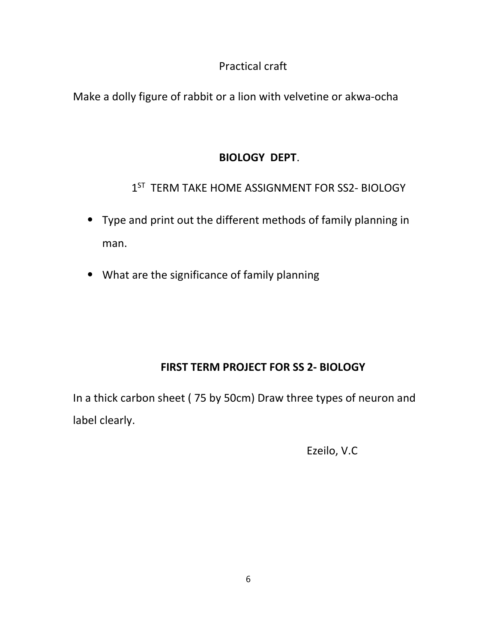# Practical craft

Make a dolly figure of rabbit or a lion with velvetine or akwa-ocha

# BIOLOGY DEPT.

1<sup>ST</sup> TERM TAKE HOME ASSIGNMENT FOR SS2- BIOLOGY

- ⦁ Type and print out the different methods of family planning in man.
- ⦁ What are the significance of family planning

# FIRST TERM PROJECT FOR SS 2- BIOLOGY

In a thick carbon sheet ( 75 by 50cm) Draw three types of neuron and label clearly.

Ezeilo, V.C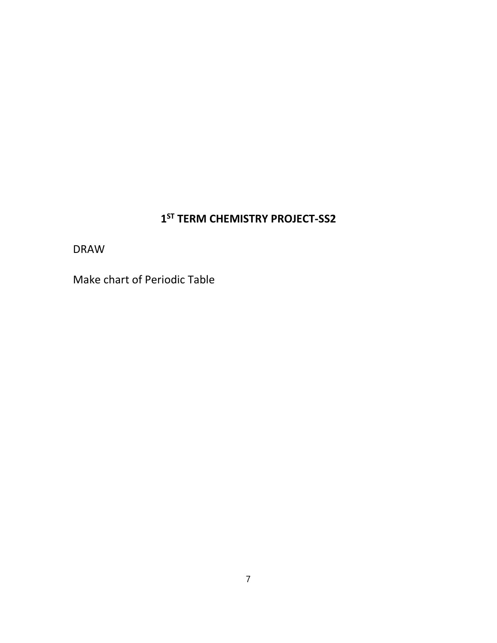## 1<sup>ST</sup> TERM CHEMISTRY PROJECT-SS2

DRAW

Make chart of Periodic Table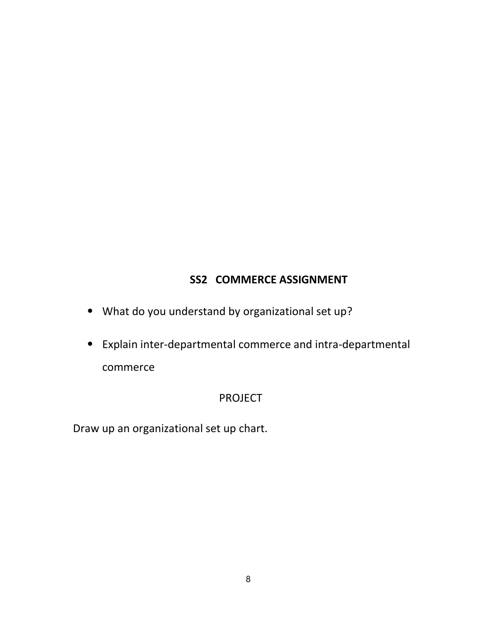## SS2 COMMERCE ASSIGNMENT

- ⦁ What do you understand by organizational set up?
- ⦁ Explain inter-departmental commerce and intra-departmental commerce

#### PROJECT

Draw up an organizational set up chart.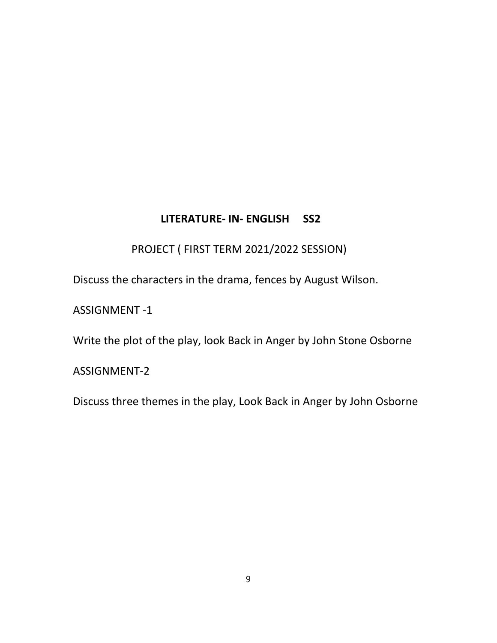## LITERATURE- IN- ENGLISH SS2

PROJECT ( FIRST TERM 2021/2022 SESSION)

Discuss the characters in the drama, fences by August Wilson.

ASSIGNMENT -1

Write the plot of the play, look Back in Anger by John Stone Osborne

ASSIGNMENT-2

Discuss three themes in the play, Look Back in Anger by John Osborne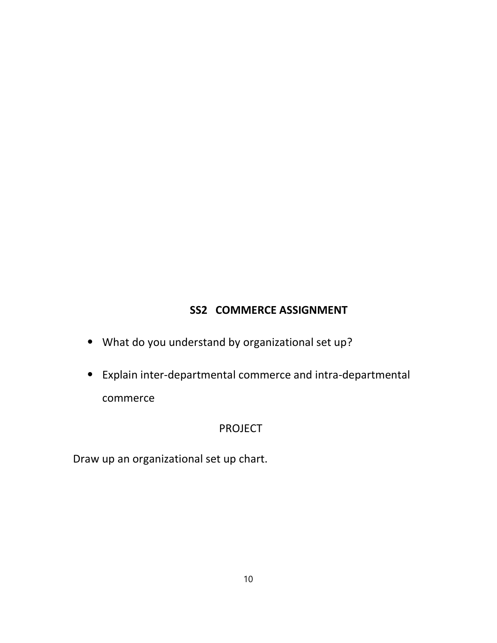# SS2 COMMERCE ASSIGNMENT

- ⦁ What do you understand by organizational set up?
- ⦁ Explain inter-departmental commerce and intra-departmental commerce

#### PROJECT

Draw up an organizational set up chart.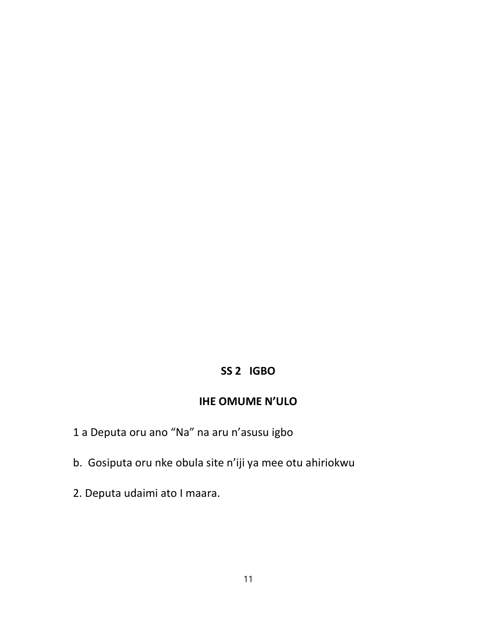## SS 2 IGBO

#### IHE OMUME N'ULO

- 1 a Deputa oru ano "Na" na aru n'asusu igbo
- b. Gosiputa oru nke obula site n'iji ya mee otu ahiriokwu
- 2. Deputa udaimi ato I maara.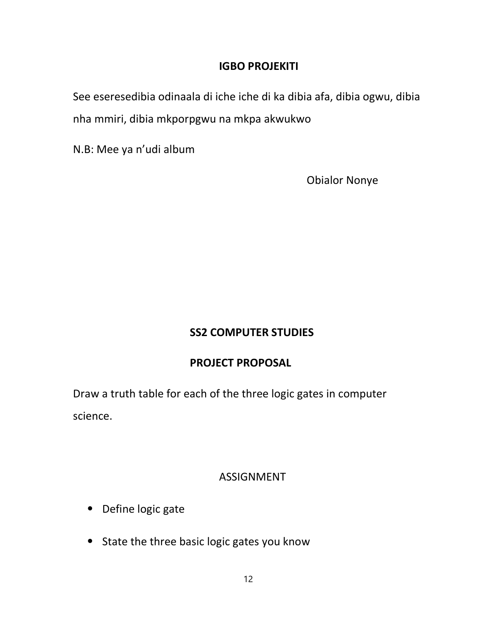#### IGBO PROJEKITI

See eseresedibia odinaala di iche iche di ka dibia afa, dibia ogwu, dibia nha mmiri, dibia mkporpgwu na mkpa akwukwo

N.B: Mee ya n'udi album

Obialor Nonye

## SS2 COMPUTER STUDIES

#### PROJECT PROPOSAL

Draw a truth table for each of the three logic gates in computer science.

#### ASSIGNMENT

- ⦁ Define logic gate
- ⦁ State the three basic logic gates you know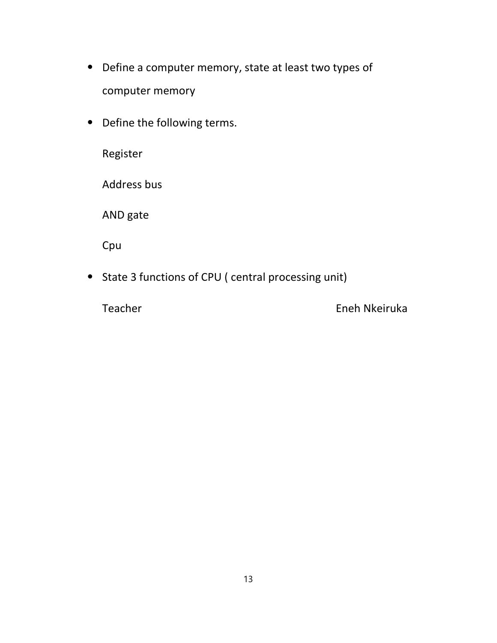- ⦁ Define a computer memory, state at least two types of computer memory
- ⦁ Define the following terms.

Register

Address bus

AND gate

Cpu

⦁ State 3 functions of CPU ( central processing unit)

Teacher Eneh Nkeiruka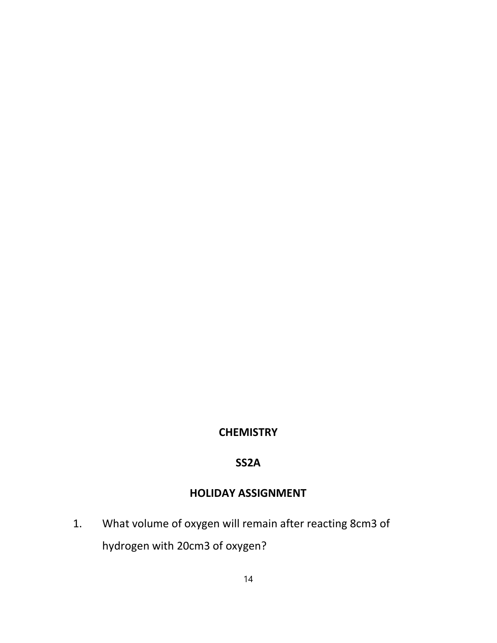## **CHEMISTRY**

#### SS2A

## HOLIDAY ASSIGNMENT

1. What volume of oxygen will remain after reacting 8cm3 of hydrogen with 20cm3 of oxygen?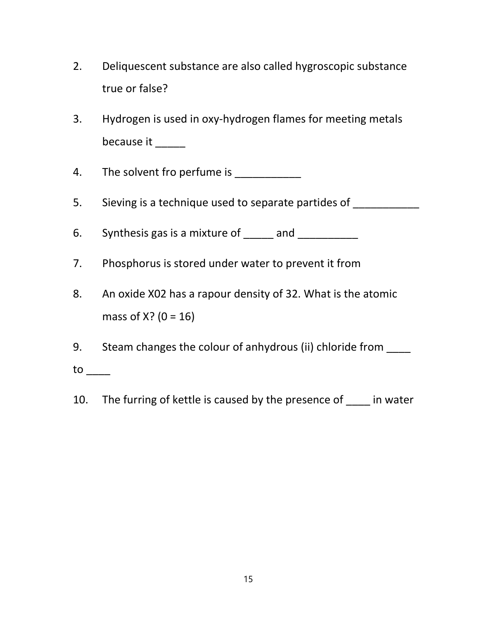- 2. Deliquescent substance are also called hygroscopic substance true or false?
- 3. Hydrogen is used in oxy-hydrogen flames for meeting metals because it \_\_\_\_\_
- 4. The solvent fro perfume is \_\_\_\_\_\_\_\_\_\_\_\_\_
- 5. Sieving is a technique used to separate partides of
- 6. Synthesis gas is a mixture of  $\frac{1}{\sqrt{1-\frac{1}{n}}}\$  and  $\frac{1}{\sqrt{1-\frac{1}{n}}}\$
- 7. Phosphorus is stored under water to prevent it from
- 8. An oxide X02 has a rapour density of 32. What is the atomic mass of  $X$ ? (0 = 16)
- 9. Steam changes the colour of anhydrous (ii) chloride from
- $to$
- 10. The furring of kettle is caused by the presence of in water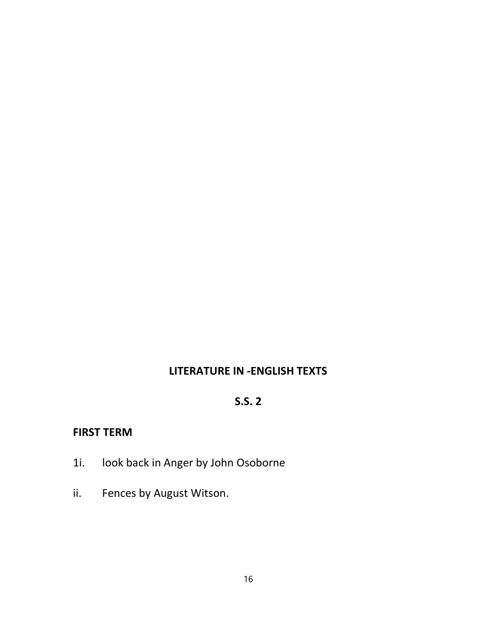## LITERATURE IN -ENGLISH TEXTS

# S.S. 2

## FIRST TERM

- 1i. look back in Anger by John Osoborne
- ii. Fences by August Witson.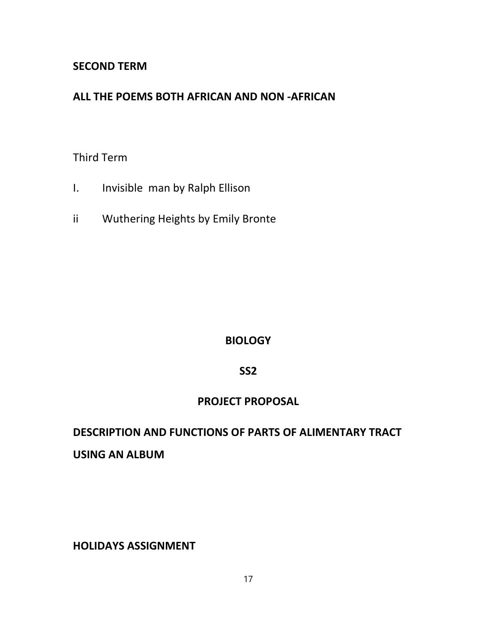#### SECOND TERM

## ALL THE POEMS BOTH AFRICAN AND NON -AFRICAN

#### Third Term

- I. Invisible man by Ralph Ellison
- ii Wuthering Heights by Emily Bronte

#### **BIOLOGY**

#### SS2

#### PROJECT PROPOSAL

# DESCRIPTION AND FUNCTIONS OF PARTS OF ALIMENTARY TRACT USING AN ALBUM

HOLIDAYS ASSIGNMENT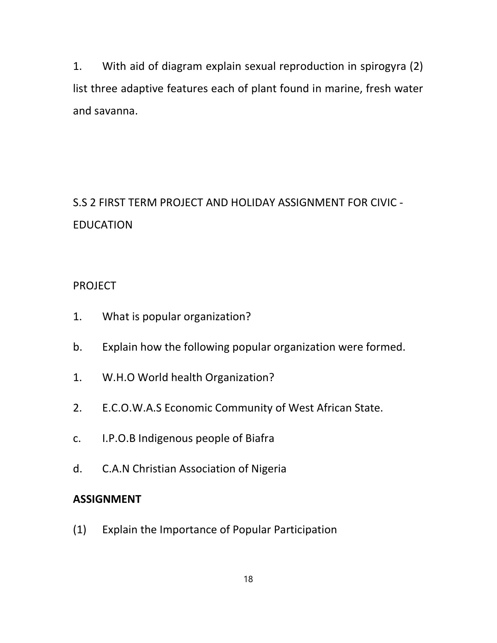1. With aid of diagram explain sexual reproduction in spirogyra (2) list three adaptive features each of plant found in marine, fresh water and savanna.

S.S 2 FIRST TERM PROJECT AND HOLIDAY ASSIGNMENT FOR CIVIC - EDUCATION

#### PROJECT

- 1. What is popular organization?
- b. Explain how the following popular organization were formed.
- 1. W.H.O World health Organization?
- 2. E.C.O.W.A.S Economic Community of West African State.
- c. I.P.O.B Indigenous people of Biafra
- d. C.A.N Christian Association of Nigeria

#### ASSIGNMENT

(1) Explain the Importance of Popular Participation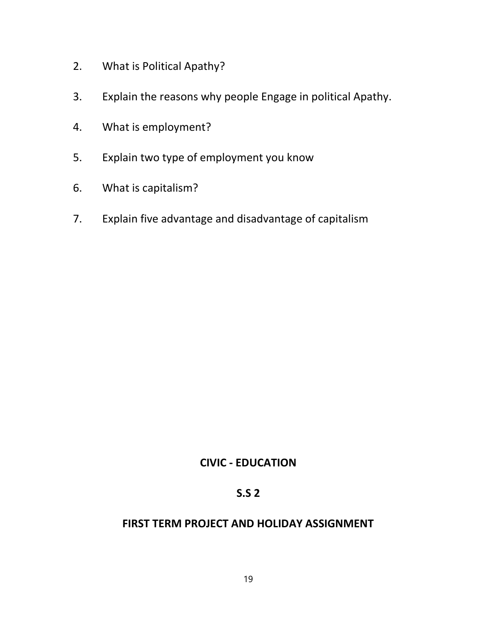- 2. What is Political Apathy?
- 3. Explain the reasons why people Engage in political Apathy.
- 4. What is employment?
- 5. Explain two type of employment you know
- 6. What is capitalism?
- 7. Explain five advantage and disadvantage of capitalism

#### CIVIC - EDUCATION

## S.S 2

#### FIRST TERM PROJECT AND HOLIDAY ASSIGNMENT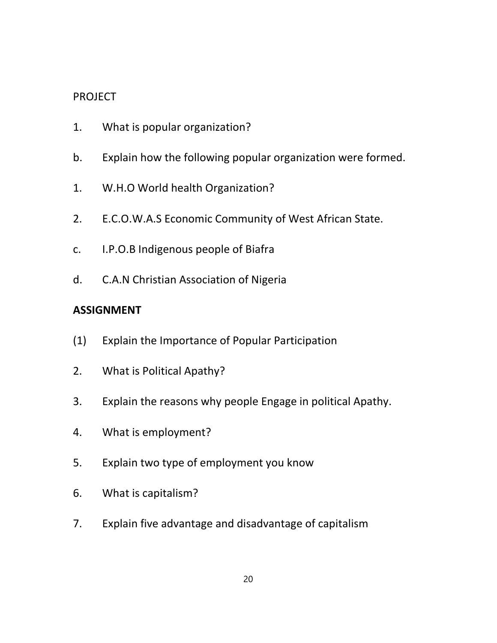#### PROJECT

- 1. What is popular organization?
- b. Explain how the following popular organization were formed.
- 1. W.H.O World health Organization?
- 2. E.C.O.W.A.S Economic Community of West African State.
- c. I.P.O.B Indigenous people of Biafra
- d. C.A.N Christian Association of Nigeria

## ASSIGNMENT

- (1) Explain the Importance of Popular Participation
- 2. What is Political Apathy?
- 3. Explain the reasons why people Engage in political Apathy.
- 4. What is employment?
- 5. Explain two type of employment you know
- 6. What is capitalism?
- 7. Explain five advantage and disadvantage of capitalism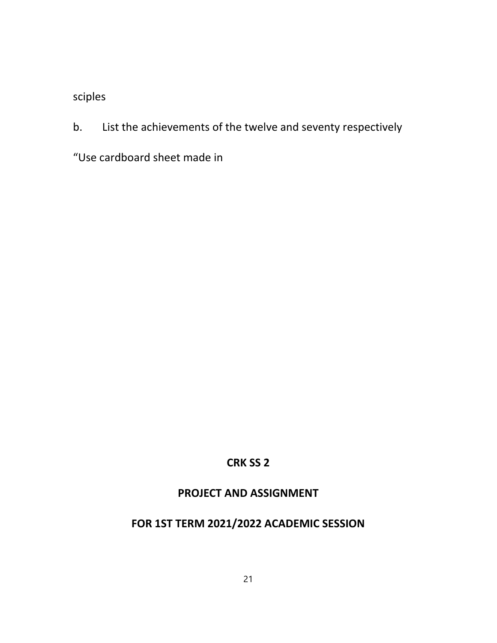sciples

b. List the achievements of the twelve and seventy respectively

"Use cardboard sheet made in

## CRK SS 2

## PROJECT AND ASSIGNMENT

# FOR 1ST TERM 2021/2022 ACADEMIC SESSION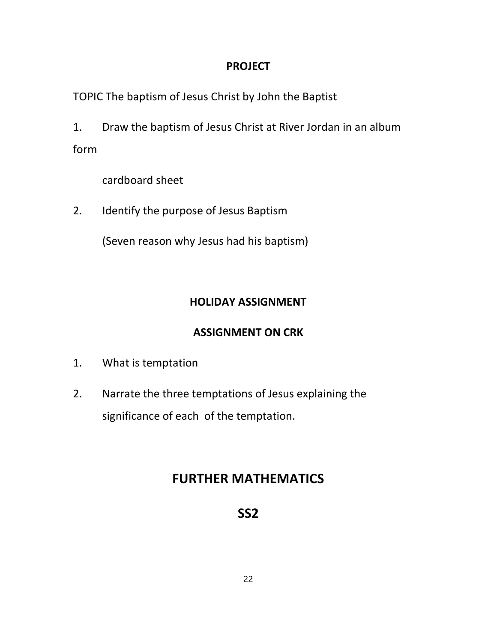#### PROJECT

TOPIC The baptism of Jesus Christ by John the Baptist

1. Draw the baptism of Jesus Christ at River Jordan in an album form

cardboard sheet

2. Identify the purpose of Jesus Baptism

(Seven reason why Jesus had his baptism)

# HOLIDAY ASSIGNMENT

# ASSIGNMENT ON CRK

- 1. What is temptation
- 2. Narrate the three temptations of Jesus explaining the significance of each of the temptation.

# FURTHER MATHEMATICS

SS2